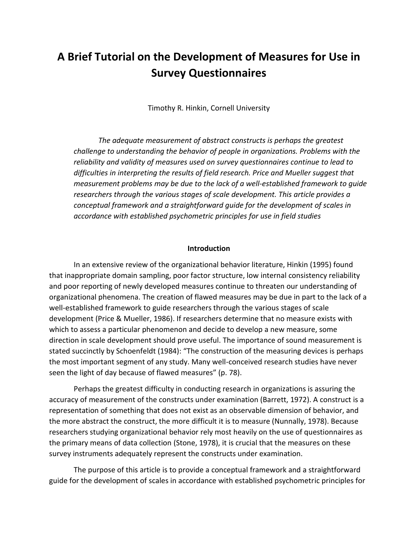# **A Brief Tutorial on the Development of Measures for Use in Survey Questionnaires**

Timothy R. Hinkin, Cornell University

*The adequate measurement of abstract constructs is perhaps the greatest challenge to understanding the behavior of people in organizations. Problems with the reliability and validity of measures used on survey questionnaires continue to lead to difficulties in interpreting the results of field research. Price and Mueller suggest that measurement problems may be due to the lack of a well-established framework to guide researchers through the various stages of scale development. This article provides a conceptual framework and a straightforward guide for the development of scales in accordance with established psychometric principles for use in field studies*

#### **Introduction**

In an extensive review of the organizational behavior literature, Hinkin (1995) found that inappropriate domain sampling, poor factor structure, low internal consistency reliability and poor reporting of newly developed measures continue to threaten our understanding of organizational phenomena. The creation of flawed measures may be due in part to the lack of a well-established framework to guide researchers through the various stages of scale development (Price & Mueller, 1986). If researchers determine that no measure exists with which to assess a particular phenomenon and decide to develop a new measure, some direction in scale development should prove useful. The importance of sound measurement is stated succinctly by Schoenfeldt (1984): "The construction of the measuring devices is perhaps the most important segment of any study. Many well-conceived research studies have never seen the light of day because of flawed measures" (p. 78).

Perhaps the greatest difficulty in conducting research in organizations is assuring the accuracy of measurement of the constructs under examination (Barrett, 1972). A construct is a representation of something that does not exist as an observable dimension of behavior, and the more abstract the construct, the more difficult it is to measure (Nunnally, 1978). Because researchers studying organizational behavior rely most heavily on the use of questionnaires as the primary means of data collection (Stone, 1978), it is crucial that the measures on these survey instruments adequately represent the constructs under examination.

The purpose of this article is to provide a conceptual framework and a straightforward guide for the development of scales in accordance with established psychometric principles for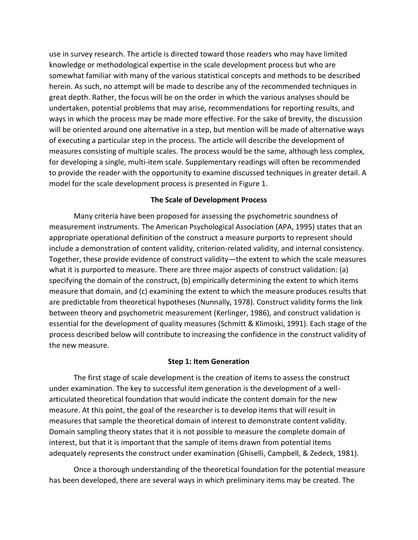use in survey research. The article is directed toward those readers who may have limited knowledge or methodological expertise in the scale development process but who are somewhat familiar with many of the various statistical concepts and methods to be described herein. As such, no attempt will be made to describe any of the recommended techniques in great depth. Rather, the focus will be on the order in which the various analyses should be undertaken, potential problems that may arise, recommendations for reporting results, and ways in which the process may be made more effective. For the sake of brevity, the discussion will be oriented around one alternative in a step, but mention will be made of alternative ways of executing a particular step in the process. The article will describe the development of measures consisting of multiple scales. The process would be the same, although less complex, for developing a single, multi-item scale. Supplementary readings will often be recommended to provide the reader with the opportunity to examine discussed techniques in greater detail. A model for the scale development process is presented in Figure 1.

## **The Scale of Development Process**

Many criteria have been proposed for assessing the psychometric soundness of measurement instruments. The American Psychological Association (APA, 1995) states that an appropriate operational definition of the construct a measure purports to represent should include a demonstration of content validity, criterion-related validity, and internal consistency. Together, these provide evidence of construct validity—the extent to which the scale measures what it is purported to measure. There are three major aspects of construct validation: (a) specifying the domain of the construct, (b) empirically determining the extent to which items measure that domain, and (c) examining the extent to which the measure produces results that are predictable from theoretical hypotheses (Nunnally, 1978). Construct validity forms the link between theory and psychometric measurement (Kerlinger, 1986), and construct validation is essential for the development of quality measures (Schmitt & Klimoski, 1991). Each stage of the process described below will contribute to increasing the confidence in the construct validity of the new measure.

### **Step 1: Item Generation**

The first stage of scale development is the creation of items to assess the construct under examination. The key to successful item generation is the development of a wellarticulated theoretical foundation that would indicate the content domain for the new measure. At this point, the goal of the researcher is to develop items that will result in measures that sample the theoretical domain of interest to demonstrate content validity. Domain sampling theory states that it is not possible to measure the complete domain of interest, but that it is important that the sample of items drawn from potential items adequately represents the construct under examination (Ghiselli, Campbell, & Zedeck, 1981).

Once a thorough understanding of the theoretical foundation for the potential measure has been developed, there are several ways in which preliminary items may be created. The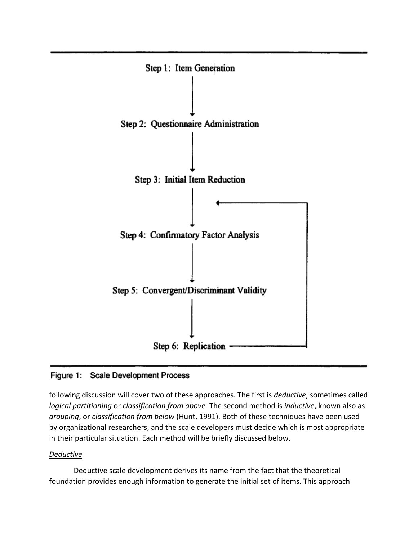

# Figure 1: Scale Development Process

following discussion will cover two of these approaches. The first is *deductive*, sometimes called *logical partitioning* or *classification from above.* The second method is *inductive*, known also as *grouping*, or *classification from below* (Hunt, 1991). Both of these techniques have been used by organizational researchers, and the scale developers must decide which is most appropriate in their particular situation. Each method will be briefly discussed below.

## *Deductive*

Deductive scale development derives its name from the fact that the theoretical foundation provides enough information to generate the initial set of items. This approach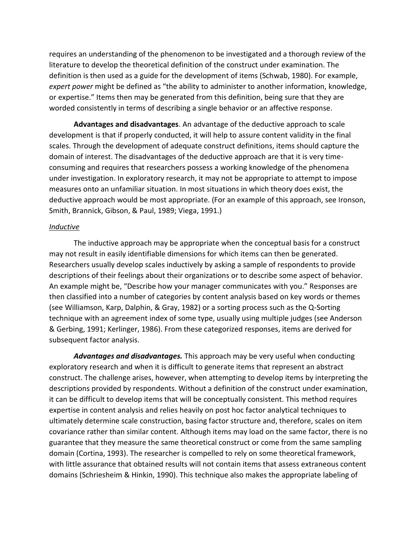requires an understanding of the phenomenon to be investigated and a thorough review of the literature to develop the theoretical definition of the construct under examination. The definition is then used as a guide for the development of items (Schwab, 1980). For example, *expert power* might be defined as "the ability to administer to another information, knowledge, or expertise." Items then may be generated from this definition, being sure that they are worded consistently in terms of describing a single behavior or an affective response.

**Advantages and disadvantages**. An advantage of the deductive approach to scale development is that if properly conducted, it will help to assure content validity in the final scales. Through the development of adequate construct definitions, items should capture the domain of interest. The disadvantages of the deductive approach are that it is very timeconsuming and requires that researchers possess a working knowledge of the phenomena under investigation. In exploratory research, it may not be appropriate to attempt to impose measures onto an unfamiliar situation. In most situations in which theory does exist, the deductive approach would be most appropriate. (For an example of this approach, see Ironson, Smith, Brannick, Gibson, & Paul, 1989; Viega, 1991.)

### *Inductive*

The inductive approach may be appropriate when the conceptual basis for a construct may not result in easily identifiable dimensions for which items can then be generated. Researchers usually develop scales inductively by asking a sample of respondents to provide descriptions of their feelings about their organizations or to describe some aspect of behavior. An example might be, "Describe how your manager communicates with you." Responses are then classified into a number of categories by content analysis based on key words or themes (see Williamson, Karp, Dalphin, & Gray, 1982) or a sorting process such as the Q-Sorting technique with an agreement index of some type, usually using multiple judges (see Anderson & Gerbing, 1991; Kerlinger, 1986). From these categorized responses, items are derived for subsequent factor analysis.

*Advantages and disadvantages.* This approach may be very useful when conducting exploratory research and when it is difficult to generate items that represent an abstract construct. The challenge arises, however, when attempting to develop items by interpreting the descriptions provided by respondents. Without a definition of the construct under examination, it can be difficult to develop items that will be conceptually consistent. This method requires expertise in content analysis and relies heavily on post hoc factor analytical techniques to ultimately determine scale construction, basing factor structure and, therefore, scales on item covariance rather than similar content. Although items may load on the same factor, there is no guarantee that they measure the same theoretical construct or come from the same sampling domain (Cortina, 1993). The researcher is compelled to rely on some theoretical framework, with little assurance that obtained results will not contain items that assess extraneous content domains (Schriesheim & Hinkin, 1990). This technique also makes the appropriate labeling of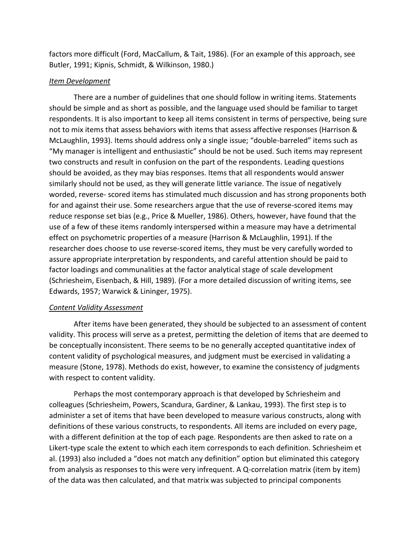factors more difficult (Ford, MacCallum, & Tait, 1986). (For an example of this approach, see Butler, 1991; Kipnis, Schmidt, & Wilkinson, 1980.)

## *Item Development*

There are a number of guidelines that one should follow in writing items. Statements should be simple and as short as possible, and the language used should be familiar to target respondents. It is also important to keep all items consistent in terms of perspective, being sure not to mix items that assess behaviors with items that assess affective responses (Harrison & McLaughlin, 1993). Items should address only a single issue; "double-barreled" items such as "My manager is intelligent and enthusiastic" should be not be used. Such items may represent two constructs and result in confusion on the part of the respondents. Leading questions should be avoided, as they may bias responses. Items that all respondents would answer similarly should not be used, as they will generate little variance. The issue of negatively worded, reverse- scored items has stimulated much discussion and has strong proponents both for and against their use. Some researchers argue that the use of reverse-scored items may reduce response set bias (e.g., Price & Mueller, 1986). Others, however, have found that the use of a few of these items randomly interspersed within a measure may have a detrimental effect on psychometric properties of a measure (Harrison & McLaughlin, 1991). If the researcher does choose to use reverse-scored items, they must be very carefully worded to assure appropriate interpretation by respondents, and careful attention should be paid to factor loadings and communalities at the factor analytical stage of scale development (Schriesheim, Eisenbach, & Hill, 1989). (For a more detailed discussion of writing items, see Edwards, 1957; Warwick & Lininger, 1975).

### *Content Validity Assessment*

After items have been generated, they should be subjected to an assessment of content validity. This process will serve as a pretest, permitting the deletion of items that are deemed to be conceptually inconsistent. There seems to be no generally accepted quantitative index of content validity of psychological measures, and judgment must be exercised in validating a measure (Stone, 1978). Methods do exist, however, to examine the consistency of judgments with respect to content validity.

Perhaps the most contemporary approach is that developed by Schriesheim and colleagues (Schriesheim, Powers, Scandura, Gardiner, & Lankau, 1993). The first step is to administer a set of items that have been developed to measure various constructs, along with definitions of these various constructs, to respondents. All items are included on every page, with a different definition at the top of each page. Respondents are then asked to rate on a Likert-type scale the extent to which each item corresponds to each definition. Schriesheim et al. (1993) also included a "does not match any definition" option but eliminated this category from analysis as responses to this were very infrequent. A Q-correlation matrix (item by item) of the data was then calculated, and that matrix was subjected to principal components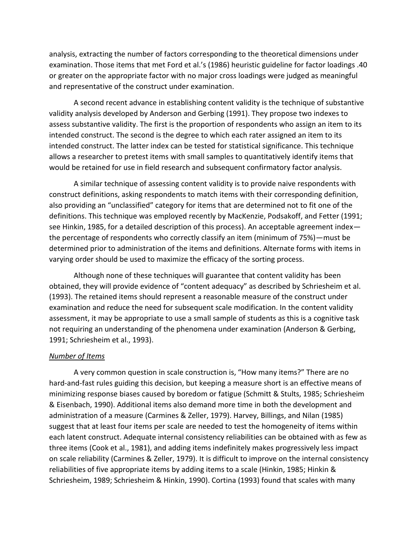analysis, extracting the number of factors corresponding to the theoretical dimensions under examination. Those items that met Ford et al.'s (1986) heuristic guideline for factor loadings .40 or greater on the appropriate factor with no major cross loadings were judged as meaningful and representative of the construct under examination.

A second recent advance in establishing content validity is the technique of substantive validity analysis developed by Anderson and Gerbing (1991). They propose two indexes to assess substantive validity. The first is the proportion of respondents who assign an item to its intended construct. The second is the degree to which each rater assigned an item to its intended construct. The latter index can be tested for statistical significance. This technique allows a researcher to pretest items with small samples to quantitatively identify items that would be retained for use in field research and subsequent confirmatory factor analysis.

A similar technique of assessing content validity is to provide naive respondents with construct definitions, asking respondents to match items with their corresponding definition, also providing an "unclassified" category for items that are determined not to fit one of the definitions. This technique was employed recently by MacKenzie, Podsakoff, and Fetter (1991; see Hinkin, 1985, for a detailed description of this process). An acceptable agreement index the percentage of respondents who correctly classify an item (minimum of 75%)—must be determined prior to administration of the items and definitions. Alternate forms with items in varying order should be used to maximize the efficacy of the sorting process.

Although none of these techniques will guarantee that content validity has been obtained, they will provide evidence of "content adequacy" as described by Schriesheim et al. (1993). The retained items should represent a reasonable measure of the construct under examination and reduce the need for subsequent scale modification. In the content validity assessment, it may be appropriate to use a small sample of students as this is a cognitive task not requiring an understanding of the phenomena under examination (Anderson & Gerbing, 1991; Schriesheim et al., 1993).

### *Number of Items*

A very common question in scale construction is, "How many items?" There are no hard-and-fast rules guiding this decision, but keeping a measure short is an effective means of minimizing response biases caused by boredom or fatigue (Schmitt & Stults, 1985; Schriesheim & Eisenbach, 1990). Additional items also demand more time in both the development and administration of a measure (Carmines & Zeller, 1979). Harvey, Billings, and Nilan (1985) suggest that at least four items per scale are needed to test the homogeneity of items within each latent construct. Adequate internal consistency reliabilities can be obtained with as few as three items (Cook et al., 1981), and adding items indefinitely makes progressively less impact on scale reliability (Carmines & Zeller, 1979). It is difficult to improve on the internal consistency reliabilities of five appropriate items by adding items to a scale (Hinkin, 1985; Hinkin & Schriesheim, 1989; Schriesheim & Hinkin, 1990). Cortina (1993) found that scales with many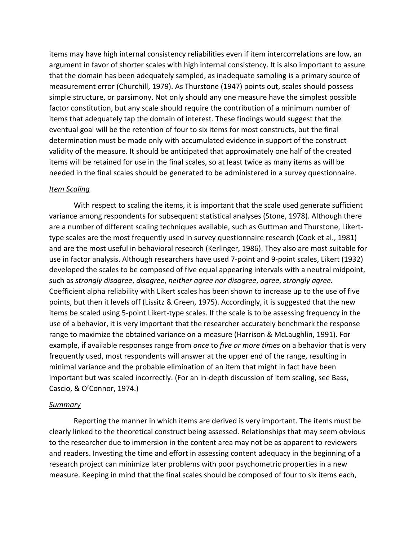items may have high internal consistency reliabilities even if item intercorrelations are low, an argument in favor of shorter scales with high internal consistency. It is also important to assure that the domain has been adequately sampled, as inadequate sampling is a primary source of measurement error (Churchill, 1979). As Thurstone (1947) points out, scales should possess simple structure, or parsimony. Not only should any one measure have the simplest possible factor constitution, but any scale should require the contribution of a minimum number of items that adequately tap the domain of interest. These findings would suggest that the eventual goal will be the retention of four to six items for most constructs, but the final determination must be made only with accumulated evidence in support of the construct validity of the measure. It should be anticipated that approximately one half of the created items will be retained for use in the final scales, so at least twice as many items as will be needed in the final scales should be generated to be administered in a survey questionnaire.

## *Item Scaling*

With respect to scaling the items, it is important that the scale used generate sufficient variance among respondents for subsequent statistical analyses (Stone, 1978). Although there are a number of different scaling techniques available, such as Guttman and Thurstone, Likerttype scales are the most frequently used in survey questionnaire research (Cook et al., 1981) and are the most useful in behavioral research (Kerlinger, 1986). They also are most suitable for use in factor analysis. Although researchers have used 7-point and 9-point scales, Likert (1932) developed the scales to be composed of five equal appearing intervals with a neutral midpoint, such as *strongly disagree*, *disagree*, *neither agree nor disagree*, *agree*, *strongly agree.*  Coefficient alpha reliability with Likert scales has been shown to increase up to the use of five points, but then it levels off (Lissitz & Green, 1975). Accordingly, it is suggested that the new items be scaled using 5-point Likert-type scales. If the scale is to be assessing frequency in the use of a behavior, it is very important that the researcher accurately benchmark the response range to maximize the obtained variance on a measure (Harrison & McLaughlin, 1991). For example, if available responses range from *once* to *five or more times* on a behavior that is very frequently used, most respondents will answer at the upper end of the range, resulting in minimal variance and the probable elimination of an item that might in fact have been important but was scaled incorrectly. (For an in-depth discussion of item scaling, see Bass, Cascio, & O'Connor, 1974.)

### *Summary*

Reporting the manner in which items are derived is very important. The items must be clearly linked to the theoretical construct being assessed. Relationships that may seem obvious to the researcher due to immersion in the content area may not be as apparent to reviewers and readers. Investing the time and effort in assessing content adequacy in the beginning of a research project can minimize later problems with poor psychometric properties in a new measure. Keeping in mind that the final scales should be composed of four to six items each,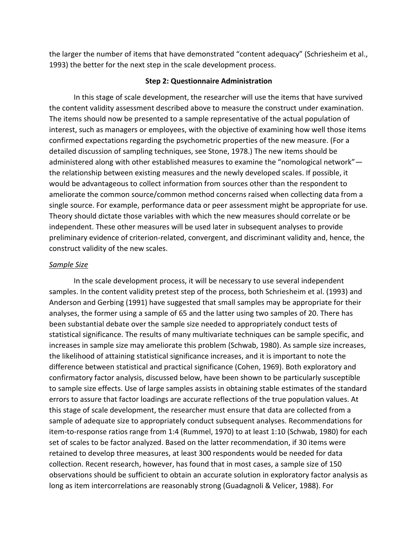the larger the number of items that have demonstrated "content adequacy" (Schriesheim et al., 1993) the better for the next step in the scale development process.

#### **Step 2: Questionnaire Administration**

In this stage of scale development, the researcher will use the items that have survived the content validity assessment described above to measure the construct under examination. The items should now be presented to a sample representative of the actual population of interest, such as managers or employees, with the objective of examining how well those items confirmed expectations regarding the psychometric properties of the new measure. (For a detailed discussion of sampling techniques, see Stone, 1978.) The new items should be administered along with other established measures to examine the "nomological network" the relationship between existing measures and the newly developed scales. If possible, it would be advantageous to collect information from sources other than the respondent to ameliorate the common source/common method concerns raised when collecting data from a single source. For example, performance data or peer assessment might be appropriate for use. Theory should dictate those variables with which the new measures should correlate or be independent. These other measures will be used later in subsequent analyses to provide preliminary evidence of criterion-related, convergent, and discriminant validity and, hence, the construct validity of the new scales.

#### *Sample Size*

In the scale development process, it will be necessary to use several independent samples. In the content validity pretest step of the process, both Schriesheim et al. (1993) and Anderson and Gerbing (1991) have suggested that small samples may be appropriate for their analyses, the former using a sample of 65 and the latter using two samples of 20. There has been substantial debate over the sample size needed to appropriately conduct tests of statistical significance. The results of many multivariate techniques can be sample specific, and increases in sample size may ameliorate this problem (Schwab, 1980). As sample size increases, the likelihood of attaining statistical significance increases, and it is important to note the difference between statistical and practical significance (Cohen, 1969). Both exploratory and confirmatory factor analysis, discussed below, have been shown to be particularly susceptible to sample size effects. Use of large samples assists in obtaining stable estimates of the standard errors to assure that factor loadings are accurate reflections of the true population values. At this stage of scale development, the researcher must ensure that data are collected from a sample of adequate size to appropriately conduct subsequent analyses. Recommendations for item-to-response ratios range from 1:4 (Rummel, 1970) to at least 1:10 (Schwab, 1980) for each set of scales to be factor analyzed. Based on the latter recommendation, if 30 items were retained to develop three measures, at least 300 respondents would be needed for data collection. Recent research, however, has found that in most cases, a sample size of 150 observations should be sufficient to obtain an accurate solution in exploratory factor analysis as long as item intercorrelations are reasonably strong (Guadagnoli & Velicer, 1988). For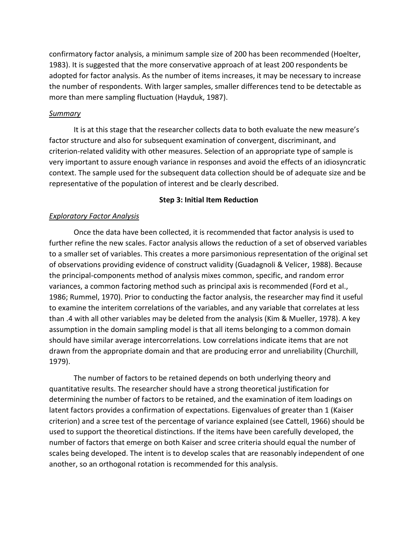confirmatory factor analysis, a minimum sample size of 200 has been recommended (Hoelter, 1983). It is suggested that the more conservative approach of at least 200 respondents be adopted for factor analysis. As the number of items increases, it may be necessary to increase the number of respondents. With larger samples, smaller differences tend to be detectable as more than mere sampling fluctuation (Hayduk, 1987).

## *Summary*

It is at this stage that the researcher collects data to both evaluate the new measure's factor structure and also for subsequent examination of convergent, discriminant, and criterion-related validity with other measures. Selection of an appropriate type of sample is very important to assure enough variance in responses and avoid the effects of an idiosyncratic context. The sample used for the subsequent data collection should be of adequate size and be representative of the population of interest and be clearly described.

## **Step 3: Initial Item Reduction**

## *Exploratory Factor Analysis*

Once the data have been collected, it is recommended that factor analysis is used to further refine the new scales. Factor analysis allows the reduction of a set of observed variables to a smaller set of variables. This creates a more parsimonious representation of the original set of observations providing evidence of construct validity (Guadagnoli & Velicer, 1988). Because the principal-components method of analysis mixes common, specific, and random error variances, a common factoring method such as principal axis is recommended (Ford et al., 1986; Rummel, 1970). Prior to conducting the factor analysis, the researcher may find it useful to examine the interitem correlations of the variables, and any variable that correlates at less than .4 with all other variables may be deleted from the analysis (Kim & Mueller, 1978). A key assumption in the domain sampling model is that all items belonging to a common domain should have similar average intercorrelations. Low correlations indicate items that are not drawn from the appropriate domain and that are producing error and unreliability (Churchill, 1979).

The number of factors to be retained depends on both underlying theory and quantitative results. The researcher should have a strong theoretical justification for determining the number of factors to be retained, and the examination of item loadings on latent factors provides a confirmation of expectations. Eigenvalues of greater than 1 (Kaiser criterion) and a scree test of the percentage of variance explained (see Cattell, 1966) should be used to support the theoretical distinctions. If the items have been carefully developed, the number of factors that emerge on both Kaiser and scree criteria should equal the number of scales being developed. The intent is to develop scales that are reasonably independent of one another, so an orthogonal rotation is recommended for this analysis.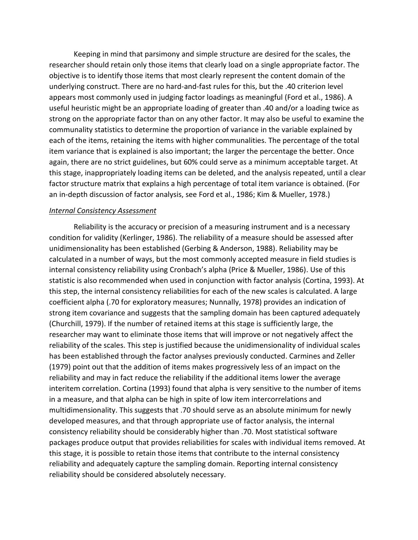Keeping in mind that parsimony and simple structure are desired for the scales, the researcher should retain only those items that clearly load on a single appropriate factor. The objective is to identify those items that most clearly represent the content domain of the underlying construct. There are no hard-and-fast rules for this, but the .40 criterion level appears most commonly used in judging factor loadings as meaningful (Ford et al., 1986). A useful heuristic might be an appropriate loading of greater than .40 and/or a loading twice as strong on the appropriate factor than on any other factor. It may also be useful to examine the communality statistics to determine the proportion of variance in the variable explained by each of the items, retaining the items with higher communalities. The percentage of the total item variance that is explained is also important; the larger the percentage the better. Once again, there are no strict guidelines, but 60% could serve as a minimum acceptable target. At this stage, inappropriately loading items can be deleted, and the analysis repeated, until a clear factor structure matrix that explains a high percentage of total item variance is obtained. (For an in-depth discussion of factor analysis, see Ford et al., 1986; Kim & Mueller, 1978.)

#### *Internal Consistency Assessment*

Reliability is the accuracy or precision of a measuring instrument and is a necessary condition for validity (Kerlinger, 1986). The reliability of a measure should be assessed after unidimensionality has been established (Gerbing & Anderson, 1988). Reliability may be calculated in a number of ways, but the most commonly accepted measure in field studies is internal consistency reliability using Cronbach's alpha (Price & Mueller, 1986). Use of this statistic is also recommended when used in conjunction with factor analysis (Cortina, 1993). At this step, the internal consistency reliabilities for each of the new scales is calculated. A large coefficient alpha (.70 for exploratory measures; Nunnally, 1978) provides an indication of strong item covariance and suggests that the sampling domain has been captured adequately (Churchill, 1979). If the number of retained items at this stage is sufficiently large, the researcher may want to eliminate those items that will improve or not negatively affect the reliability of the scales. This step is justified because the unidimensionality of individual scales has been established through the factor analyses previously conducted. Carmines and Zeller (1979) point out that the addition of items makes progressively less of an impact on the reliability and may in fact reduce the reliability if the additional items lower the average interitem correlation. Cortina (1993) found that alpha is very sensitive to the number of items in a measure, and that alpha can be high in spite of low item intercorrelations and multidimensionality. This suggests that .70 should serve as an absolute minimum for newly developed measures, and that through appropriate use of factor analysis, the internal consistency reliability should be considerably higher than .70. Most statistical software packages produce output that provides reliabilities for scales with individual items removed. At this stage, it is possible to retain those items that contribute to the internal consistency reliability and adequately capture the sampling domain. Reporting internal consistency reliability should be considered absolutely necessary.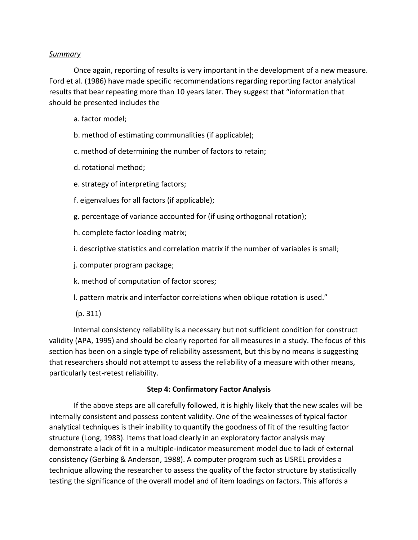## *Summary*

Once again, reporting of results is very important in the development of a new measure. Ford et al. (1986) have made specific recommendations regarding reporting factor analytical results that bear repeating more than 10 years later. They suggest that "information that should be presented includes the

- a. factor model;
- b. method of estimating communalities (if applicable);
- c. method of determining the number of factors to retain;
- d. rotational method;
- e. strategy of interpreting factors;
- f. eigenvalues for all factors (if applicable);
- g. percentage of variance accounted for (if using orthogonal rotation);
- h. complete factor loading matrix;
- i. descriptive statistics and correlation matrix if the number of variables is small;
- j. computer program package;
- k. method of computation of factor scores;
- l. pattern matrix and interfactor correlations when oblique rotation is used."
- (p. 311)

Internal consistency reliability is a necessary but not sufficient condition for construct validity (APA, 1995) and should be clearly reported for all measures in a study. The focus of this section has been on a single type of reliability assessment, but this by no means is suggesting that researchers should not attempt to assess the reliability of a measure with other means, particularly test-retest reliability.

## **Step 4: Confirmatory Factor Analysis**

If the above steps are all carefully followed, it is highly likely that the new scales will be internally consistent and possess content validity. One of the weaknesses of typical factor analytical techniques is their inability to quantify the goodness of fit of the resulting factor structure (Long, 1983). Items that load clearly in an exploratory factor analysis may demonstrate a lack of fit in a multiple-indicator measurement model due to lack of external consistency (Gerbing & Anderson, 1988). A computer program such as LISREL provides a technique allowing the researcher to assess the quality of the factor structure by statistically testing the significance of the overall model and of item loadings on factors. This affords a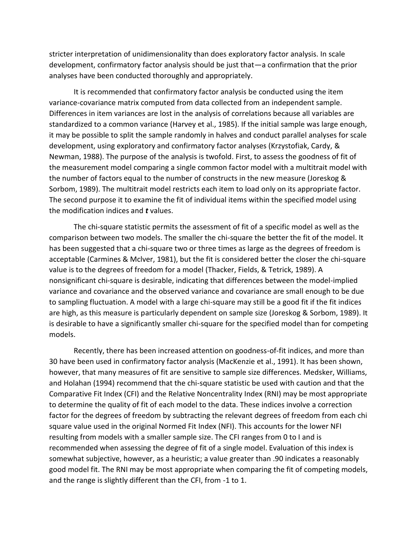stricter interpretation of unidimensionality than does exploratory factor analysis. In scale development, confirmatory factor analysis should be just that—a confirmation that the prior analyses have been conducted thoroughly and appropriately.

It is recommended that confirmatory factor analysis be conducted using the item variance-covariance matrix computed from data collected from an independent sample. Differences in item variances are lost in the analysis of correlations because all variables are standardized to a common variance (Harvey et al., 1985). If the initial sample was large enough, it may be possible to split the sample randomly in halves and conduct parallel analyses for scale development, using exploratory and confirmatory factor analyses (Krzystofiak, Cardy, & Newman, 1988). The purpose of the analysis is twofold. First, to assess the goodness of fit of the measurement model comparing a single common factor model with a multitrait model with the number of factors equal to the number of constructs in the new measure (Joreskog & Sorbom, 1989). The multitrait model restricts each item to load only on its appropriate factor. The second purpose it to examine the fit of individual items within the specified model using the modification indices and *t* values.

The chi-square statistic permits the assessment of fit of a specific model as well as the comparison between two models. The smaller the chi-square the better the fit of the model. It has been suggested that a chi-square two or three times as large as the degrees of freedom is acceptable (Carmines & Mclver, 1981), but the fit is considered better the closer the chi-square value is to the degrees of freedom for a model (Thacker, Fields, & Tetrick, 1989). A nonsignificant chi-square is desirable, indicating that differences between the model-implied variance and covariance and the observed variance and covariance are small enough to be due to sampling fluctuation. A model with a large chi-square may still be a good fit if the fit indices are high, as this measure is particularly dependent on sample size (Joreskog & Sorbom, 1989). It is desirable to have a significantly smaller chi-square for the specified model than for competing models.

Recently, there has been increased attention on goodness-of-fit indices, and more than 30 have been used in confirmatory factor analysis (MacKenzie et al., 1991). It has been shown, however, that many measures of fit are sensitive to sample size differences. Medsker, Williams, and Holahan (1994) recommend that the chi-square statistic be used with caution and that the Comparative Fit Index (CFI) and the Relative Noncentrality Index (RNI) may be most appropriate to determine the quality of fit of each model to the data. These indices involve a correction factor for the degrees of freedom by subtracting the relevant degrees of freedom from each chi square value used in the original Normed Fit Index (NFI). This accounts for the lower NFI resulting from models with a smaller sample size. The CFI ranges from 0 to I and is recommended when assessing the degree of fit of a single model. Evaluation of this index is somewhat subjective, however, as a heuristic; a value greater than .90 indicates a reasonably good model fit. The RNI may be most appropriate when comparing the fit of competing models, and the range is slightly different than the CFI, from -1 to 1.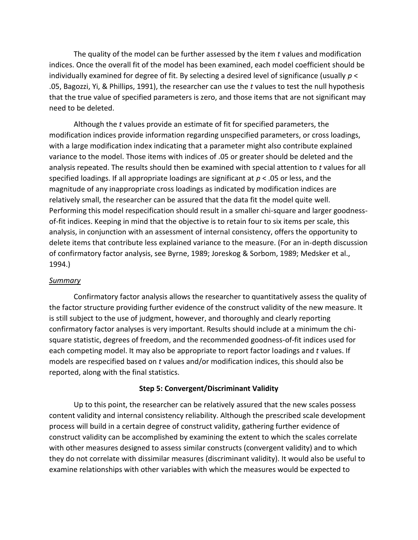The quality of the model can be further assessed by the item *t* values and modification indices. Once the overall fit of the model has been examined, each model coefficient should be individually examined for degree of fit. By selecting a desired level of significance (usually *p* < .05, Bagozzi, Yi, & Phillips, 1991), the researcher can use the *t* values to test the null hypothesis that the true value of specified parameters is zero, and those items that are not significant may need to be deleted.

Although the *t* values provide an estimate of fit for specified parameters, the modification indices provide information regarding unspecified parameters, or cross loadings, with a large modification index indicating that a parameter might also contribute explained variance to the model. Those items with indices of .05 or greater should be deleted and the analysis repeated. The results should then be examined with special attention to *t* values for all specified loadings. If all appropriate loadings are significant at *p* < .05 or less, and the magnitude of any inappropriate cross loadings as indicated by modification indices are relatively small, the researcher can be assured that the data fit the model quite well. Performing this model respecification should result in a smaller chi-square and larger goodnessof-fit indices. Keeping in mind that the objective is to retain four to six items per scale, this analysis, in conjunction with an assessment of internal consistency, offers the opportunity to delete items that contribute less explained variance to the measure. (For an in-depth discussion of confirmatory factor analysis, see Byrne, 1989; Joreskog & Sorbom, 1989; Medsker et al., 1994.)

### *Summary*

Confirmatory factor analysis allows the researcher to quantitatively assess the quality of the factor structure providing further evidence of the construct validity of the new measure. It is still subject to the use of judgment, however, and thoroughly and clearly reporting confirmatory factor analyses is very important. Results should include at a minimum the chisquare statistic, degrees of freedom, and the recommended goodness-of-fit indices used for each competing model. It may also be appropriate to report factor loadings and *t* values. If models are respecified based on *t* values and/or modification indices, this should also be reported, along with the final statistics.

### **Step 5: Convergent/Discriminant Validity**

Up to this point, the researcher can be relatively assured that the new scales possess content validity and internal consistency reliability. Although the prescribed scale development process will build in a certain degree of construct validity, gathering further evidence of construct validity can be accomplished by examining the extent to which the scales correlate with other measures designed to assess similar constructs (convergent validity) and to which they do not correlate with dissimilar measures (discriminant validity). It would also be useful to examine relationships with other variables with which the measures would be expected to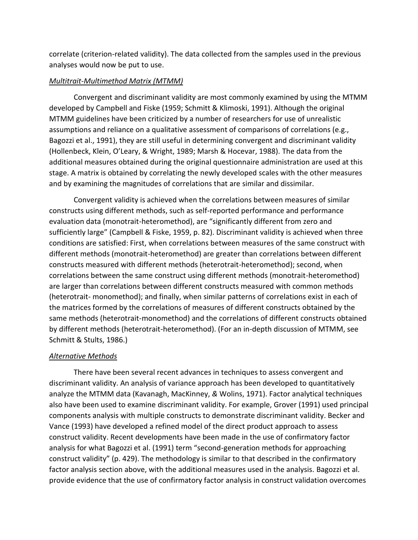correlate (criterion-related validity). The data collected from the samples used in the previous analyses would now be put to use.

# *Multitrait-Multimethod Matrix (MTMM)*

Convergent and discriminant validity are most commonly examined by using the MTMM developed by Campbell and Fiske (1959; Schmitt & Klimoski, 1991). Although the original MTMM guidelines have been criticized by a number of researchers for use of unrealistic assumptions and reliance on a qualitative assessment of comparisons of correlations (e.g., Bagozzi et al., 1991), they are still useful in determining convergent and discriminant validity (Hollenbeck, Klein, O'Leary, & Wright, 1989; Marsh & Hocevar, 1988). The data from the additional measures obtained during the original questionnaire administration are used at this stage. A matrix is obtained by correlating the newly developed scales with the other measures and by examining the magnitudes of correlations that are similar and dissimilar.

Convergent validity is achieved when the correlations between measures of similar constructs using different methods, such as self-reported performance and performance evaluation data (monotrait-heteromethod), are "significantly different from zero and sufficiently large" (Campbell & Fiske, 1959, p. 82). Discriminant validity is achieved when three conditions are satisfied: First, when correlations between measures of the same construct with different methods (monotrait-heteromethod) are greater than correlations between different constructs measured with different methods (heterotrait-heteromethod); second, when correlations between the same construct using different methods (monotrait-heteromethod) are larger than correlations between different constructs measured with common methods (heterotrait- monomethod); and finally, when similar patterns of correlations exist in each of the matrices formed by the correlations of measures of different constructs obtained by the same methods (heterotrait-monomethod) and the correlations of different constructs obtained by different methods (heterotrait-heteromethod). (For an in-depth discussion of MTMM, see Schmitt & Stults, 1986.)

# *Alternative Methods*

There have been several recent advances in techniques to assess convergent and discriminant validity. An analysis of variance approach has been developed to quantitatively analyze the MTMM data (Kavanagh, MacKinney, *&* Wolins, 1971). Factor analytical techniques also have been used to examine discriminant validity. For example, Grover (1991) used principal components analysis with multiple constructs to demonstrate discriminant validity. Becker and Vance (1993) have developed a refined model of the direct product approach to assess construct validity. Recent developments have been made in the use of confirmatory factor analysis for what Bagozzi et al. (1991) term "second-generation methods for approaching construct validity" (p. 429). The methodology is similar to that described in the confirmatory factor analysis section above, with the additional measures used in the analysis. Bagozzi et al. provide evidence that the use of confirmatory factor analysis in construct validation overcomes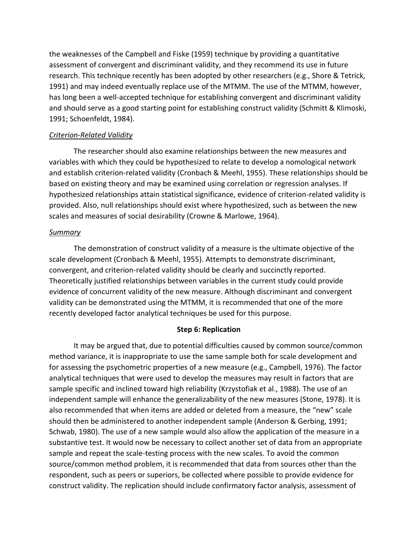the weaknesses of the Campbell and Fiske (1959) technique by providing a quantitative assessment of convergent and discriminant validity, and they recommend its use in future research. This technique recently has been adopted by other researchers (e.g., Shore & Tetrick, 1991) and may indeed eventually replace use of the MTMM. The use of the MTMM, however, has long been a well-accepted technique for establishing convergent and discriminant validity and should serve as a good starting point for establishing construct validity (Schmitt & Klimoski, 1991; Schoenfeldt, 1984).

# *Criterion-Related Validity*

The researcher should also examine relationships between the new measures and variables with which they could be hypothesized to relate to develop a nomological network and establish criterion-related validity (Cronbach & Meehl, 1955). These relationships should be based on existing theory and may be examined using correlation or regression analyses. If hypothesized relationships attain statistical significance, evidence of criterion-related validity is provided. Also, null relationships should exist where hypothesized, such as between the new scales and measures of social desirability (Crowne & Marlowe, 1964).

## *Summary*

The demonstration of construct validity of a measure is the ultimate objective of the scale development (Cronbach & Meehl, 1955). Attempts to demonstrate discriminant, convergent, and criterion-related validity should be clearly and succinctly reported. Theoretically justified relationships between variables in the current study could provide evidence of concurrent validity of the new measure. Although discriminant and convergent validity can be demonstrated using the MTMM, it is recommended that one of the more recently developed factor analytical techniques be used for this purpose.

# **Step 6: Replication**

It may be argued that, due to potential difficulties caused by common source/common method variance, it is inappropriate to use the same sample both for scale development and for assessing the psychometric properties of a new measure (e.g., Campbell, 1976). The factor analytical techniques that were used to develop the measures may result in factors that are sample specific and inclined toward high reliability (Krzystofiak et al., 1988). The use of an independent sample will enhance the generalizability of the new measures (Stone, 1978). It is also recommended that when items are added or deleted from a measure, the "new" scale should then be administered to another independent sample (Anderson & Gerbing, 1991; Schwab, 1980). The use of a new sample would also allow the application of the measure in a substantive test. It would now be necessary to collect another set of data from an appropriate sample and repeat the scale-testing process with the new scales. To avoid the common source/common method problem, it is recommended that data from sources other than the respondent, such as peers or superiors, be collected where possible to provide evidence for construct validity. The replication should include confirmatory factor analysis, assessment of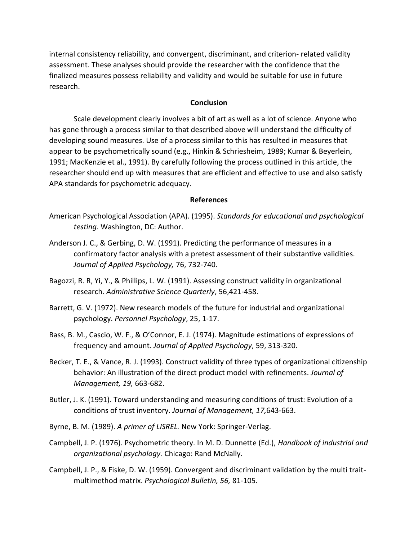internal consistency reliability, and convergent, discriminant, and criterion- related validity assessment. These analyses should provide the researcher with the confidence that the finalized measures possess reliability and validity and would be suitable for use in future research.

## **Conclusion**

Scale development clearly involves a bit of art as well as a lot of science. Anyone who has gone through a process similar to that described above will understand the difficulty of developing sound measures. Use of a process similar to this has resulted in measures that appear to be psychometrically sound (e.g., Hinkin & Schriesheim, 1989; Kumar & Beyerlein, 1991; MacKenzie et al., 1991). By carefully following the process outlined in this article, the researcher should end up with measures that are efficient and effective to use and also satisfy APA standards for psychometric adequacy.

#### **References**

- American Psychological Association (APA). (1995). *Standards for educational and psychological testing.* Washington, DC: Author.
- Anderson J. C., & Gerbing, D. W. (1991). Predicting the performance of measures in a confirmatory factor analysis with a pretest assessment of their substantive validities. *Journal of Applied Psychology,* 76, 732-740.
- Bagozzi, R. R, Yi, Y., & Phillips, L. W. (1991). Assessing construct validity in organizational research. *Administrative Science Quarterly*, 56,421-458.
- Barrett, G. V. (1972). New research models of the future for industrial and organizational psychology. *Personnel Psychology*, 25, 1-17.
- Bass, B. M., Cascio, W. F., & O'Connor, E. J. (1974). Magnitude estimations of expressions of frequency and amount. *Journal of Applied Psychology*, 59, 313-320.
- Becker, T. E., & Vance, R. J. (1993). Construct validity of three types of organizational citizenship behavior: An illustration of the direct product model with refinements. *Journal of Management, 19,* 663-682.
- Butler, J. K. (1991). Toward understanding and measuring conditions of trust: Evolution of a conditions of trust inventory. *Journal of Management, 17,*643-663.
- Byrne, B. M. (1989). *A primer of LISREL.* New York: Springer-Verlag.
- Campbell, J. P. (1976). Psychometric theory. In M. D. Dunnette (Ed.), *Handbook of industrial and organizational psychology.* Chicago: Rand McNally.
- Campbell, J. P., & Fiske, D. W. (1959). Convergent and discriminant validation by the multi traitmultimethod matrix. *Psychological Bulletin, 56,* 81-105.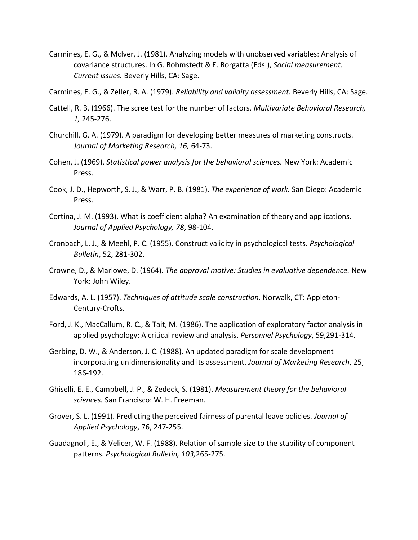Carmines, E. G., & Mclver, J. (1981). Analyzing models with unobserved variables: Analysis of covariance structures. In G. Bohmstedt & E. Borgatta (Eds.), *Social measurement: Current issues.* Beverly Hills, CA: Sage.

Carmines, E. G., & Zeller, R. A. (1979). *Reliability and validity assessment.* Beverly Hills, CA: Sage.

- Cattell, R. B. (1966). The scree test for the number of factors. *Multivariate Behavioral Research, 1,* 245-276.
- Churchill, G. A. (1979). A paradigm for developing better measures of marketing constructs. *Journal of Marketing Research, 16,* 64-73.
- Cohen, J. (1969). *Statistical power analysis for the behavioral sciences.* New York: Academic Press.
- Cook, J. D., Hepworth, S. J., & Warr, P. B. (1981). *The experience of work.* San Diego: Academic Press.
- Cortina, J. M. (1993). What is coefficient alpha? An examination of theory and applications. *Journal of Applied Psychology, 78*, 98-104.
- Cronbach, L. J., & Meehl, P. C. (1955). Construct validity in psychological tests. *Psychological Bulletin*, 52, 281-302.
- Crowne, D., & Marlowe, D. (1964). *The approval motive: Studies in evaluative dependence.* New York: John Wiley.
- Edwards, A. L. (1957). *Techniques of attitude scale construction.* Norwalk, CT: Appleton-Century-Crofts.
- Ford, J. K., MacCallum, R. C., & Tait, M. (1986). The application of exploratory factor analysis in applied psychology: A critical review and analysis. *Personnel Psychology*, 59,291-314.
- Gerbing, D. W., & Anderson, J. C. (1988). An updated paradigm for scale development incorporating unidimensionality and its assessment. *Journal of Marketing Research*, 25, 186-192.
- Ghiselli, E. E., Campbell, J. P., & Zedeck, S. (1981). *Measurement theory for the behavioral sciences.* San Francisco: W. H. Freeman.
- Grover, S. L. (1991). Predicting the perceived fairness of parental leave policies. *Journal of Applied Psychology*, 76, 247-255.
- Guadagnoli, E., & Velicer, W. F. (1988). Relation of sample size to the stability of component patterns. *Psychological Bulletin, 103,*265-275.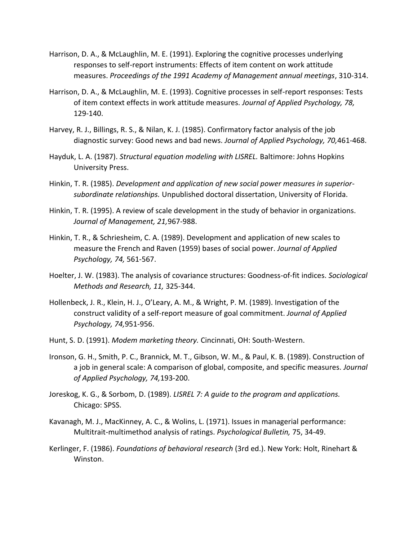- Harrison, D. A., & McLaughlin, M. E. (1991). Exploring the cognitive processes underlying responses to self-report instruments: Effects of item content on work attitude measures. *Proceedings of the 1991 Academy of Management annual meetings*, 310-314.
- Harrison, D. A., & McLaughlin, M. E. (1993). Cognitive processes in self-report responses: Tests of item context effects in work attitude measures. *Journal of Applied Psychology, 78,*  129-140.
- Harvey, R. J., Billings, R. S., & Nilan, K. J. (1985). Confirmatory factor analysis of the job diagnostic survey: Good news and bad news. *Journal of Applied Psychology, 70,*461-468.
- Hayduk, L. A. (1987). *Structural equation modeling with LISREL.* Baltimore: Johns Hopkins University Press.
- Hinkin, T. R. (1985). *Development and application of new social power measures in superiorsubordinate relationships.* Unpublished doctoral dissertation, University of Florida.
- Hinkin, T. R. (1995). A review of scale development in the study of behavior in organizations. *Journal of Management, 21,*967-988.
- Hinkin, T. R., & Schriesheim, C. A. (1989). Development and application of new scales to measure the French and Raven (1959) bases of social power. *Journal of Applied Psychology, 74,* 561-567.
- Hoelter, J. W. (1983). The analysis of covariance structures: Goodness-of-fit indices. *Sociological Methods and Research, 11,* 325-344.
- Hollenbeck, J. R., Klein, H. J., O'Leary, A. M., & Wright, P. M. (1989). Investigation of the construct validity of a self-report measure of goal commitment. *Journal of Applied Psychology, 74,*951-956.
- Hunt, S. D. (1991). *Modem marketing theory.* Cincinnati, OH: South-Western.
- Ironson, G. H., Smith, P. C., Brannick, M. T., Gibson, W. M., & Paul, K. B. (1989). Construction of a job in general scale: A comparison of global, composite, and specific measures. *Journal of Applied Psychology, 74,*193-200.
- Joreskog, K. G., & Sorbom, D. (1989). *LISREL 7: A guide to the program and applications.*  Chicago: SPSS.
- Kavanagh, M. J., MacKinney, A. C., & Wolins, L. (1971). Issues in managerial performance: Multitrait-multimethod analysis of ratings. *Psychological Bulletin,* 75, 34-49.
- Kerlinger, F. (1986). *Foundations of behavioral research* (3rd ed.). New York: Holt, Rinehart & Winston.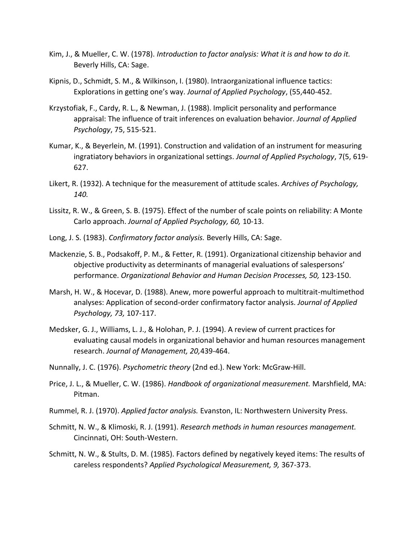- Kim, J., & Mueller, C. W. (1978). *Introduction to factor analysis: What it is and how to do it.*  Beverly Hills, CA: Sage.
- Kipnis, D., Schmidt, S. M., & Wilkinson, I. (1980). Intraorganizational influence tactics: Explorations in getting one's way. *Journal of Applied Psychology*, (55,440-452.
- Krzystofiak, F., Cardy, R. L., & Newman, J. (1988). Implicit personality and performance appraisal: The influence of trait inferences on evaluation behavior. *Journal of Applied Psychology*, 75, 515-521.
- Kumar, K., & Beyerlein, M. (1991). Construction and validation of an instrument for measuring ingratiatory behaviors in organizational settings. *Journal of Applied Psychology*, 7(5, 619- 627.
- Likert, R. (1932). A technique for the measurement of attitude scales. *Archives of Psychology, 140.*
- Lissitz, R. W., & Green, S. B. (1975). Effect of the number of scale points on reliability: A Monte Carlo approach. *Journal of Applied Psychology, 60,* 10-13.
- Long, J. S. (1983). *Confirmatory factor analysis.* Beverly Hills, CA: Sage.
- Mackenzie, S. B., Podsakoff, P. M., & Fetter, R. (1991). Organizational citizenship behavior and objective productivity as determinants of managerial evaluations of salespersons' performance. *Organizational Behavior and Human Decision Processes, 50,* 123-150.
- Marsh, H. W., & Hocevar, D. (1988). Anew, more powerful approach to multitrait-multimethod analyses: Application of second-order confirmatory factor analysis. *Journal of Applied Psychology, 73,* 107-117.
- Medsker, G. J., Williams, L. J., & Holohan, P. J. (1994). A review of current practices for evaluating causal models in organizational behavior and human resources management research. *Journal of Management, 20,*439-464.
- Nunnally, J. C. (1976). *Psychometric theory* (2nd ed.). New York: McGraw-Hill.
- Price, J. L., & Mueller, C. W. (1986). *Handbook of organizational measurement.* Marshfield, MA: Pitman.
- Rummel, R. J. (1970). *Applied factor analysis.* Evanston, IL: Northwestern University Press.
- Schmitt, N. W., & Klimoski, R. J. (1991). *Research methods in human resources management.*  Cincinnati, OH: South-Western.
- Schmitt, N. W., & Stults, D. M. (1985). Factors defined by negatively keyed items: The results of careless respondents? *Applied Psychological Measurement, 9,* 367-373.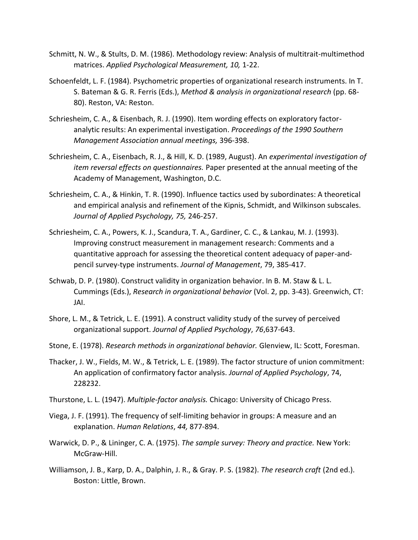- Schmitt, N. W., & Stults, D. M. (1986). Methodology review: Analysis of multitrait-multimethod matrices. *Applied Psychological Measurement, 10,* 1-22.
- Schoenfeldt, L. F. (1984). Psychometric properties of organizational research instruments. In T. S. Bateman & G. R. Ferris (Eds.), *Method & analysis in organizational research* (pp. 68- 80). Reston, VA: Reston.
- Schriesheim, C. A., & Eisenbach, R. J. (1990). Item wording effects on exploratory factoranalytic results: An experimental investigation. *Proceedings of the 1990 Southern Management Association annual meetings,* 396-398.
- Schriesheim, C. A., Eisenbach, R. J., & Hill, K. D. (1989, August). An *experimental investigation of item reversal effects on questionnaires.* Paper presented at the annual meeting of the Academy of Management, Washington, D.C.
- Schriesheim, C. A., & Hinkin, T. R. (1990). Influence tactics used by subordinates: A theoretical and empirical analysis and refinement of the Kipnis, Schmidt, and Wilkinson subscales. *Journal of Applied Psychology, 75,* 246-257.
- Schriesheim, C. A., Powers, K. J., Scandura, T. A., Gardiner, C. C., & Lankau, M. J. (1993). Improving construct measurement in management research: Comments and a quantitative approach for assessing the theoretical content adequacy of paper-andpencil survey-type instruments. *Journal of Management*, 79, 385-417.
- Schwab, D. P. (1980). Construct validity in organization behavior. In B. M. Staw & L. L. Cummings (Eds.), *Research in organizational behavior* (Vol. 2, pp. 3-43). Greenwich, CT: JAI.
- Shore, L. M., & Tetrick, L. E. (1991). A construct validity study of the survey of perceived organizational support. *Journal of Applied Psychology*, *76*,637-643.
- Stone, E. (1978). *Research methods in organizational behavior.* Glenview, IL: Scott, Foresman.
- Thacker, J. W., Fields, M. W., & Tetrick, L. E. (1989). The factor structure of union commitment: An application of confirmatory factor analysis. *Journal of Applied Psychology*, 74, 228232.
- Thurstone, L. L. (1947). *Multiple-factor analysis.* Chicago: University of Chicago Press.
- Viega, J. F. (1991). The frequency of self-limiting behavior in groups: A measure and an explanation. *Human Relations*, *44,* 877-894.
- Warwick, D. P., & Lininger, C. A. (1975). *The sample survey: Theory and practice.* New York: McGraw-Hill.
- Williamson, J. B., Karp, D. A., Dalphin, J. R., & Gray. P. S. (1982). *The research craft* (2nd ed.). Boston: Little, Brown.